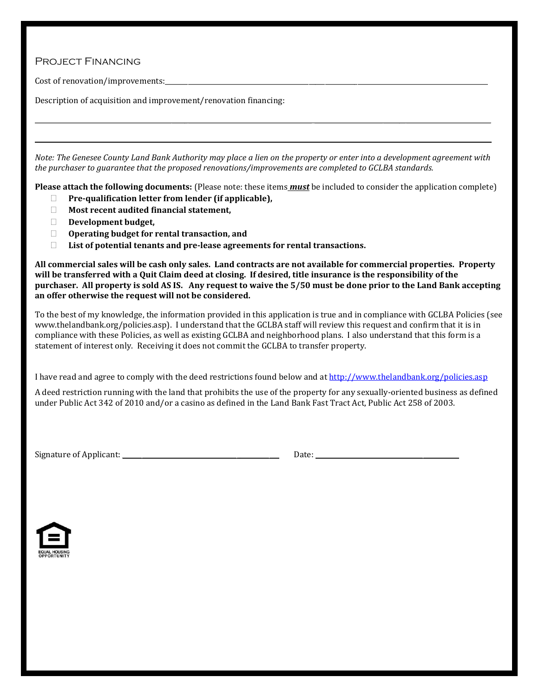## Project Financing

Cost of renovation/improvements:

Description of acquisition and improvement/renovation financing:

*Note: The Genesee County Land Bank Authority may place a lien on the property or enter into a development agreement with the purchaser to guarantee that the proposed renovations/improvements are completed to GCLBA standards.*

 $\mathcal{L} = \{ \mathcal{L} = \{ \mathcal{L} = \{ \mathcal{L} = \{ \mathcal{L} = \{ \mathcal{L} = \{ \mathcal{L} = \{ \mathcal{L} = \{ \mathcal{L} = \{ \mathcal{L} = \{ \mathcal{L} = \{ \mathcal{L} = \{ \mathcal{L} = \{ \mathcal{L} = \{ \mathcal{L} = \{ \mathcal{L} = \{ \mathcal{L} = \{ \mathcal{L} = \{ \mathcal{L} = \{ \mathcal{L} = \{ \mathcal{L} = \{ \mathcal{L} = \{ \mathcal{L} = \{ \mathcal{L} = \{ \mathcal{$ 

 $\_$  , and the state of the state of the state of the state of the state of the state of the state of the state of the state of the state of the state of the state of the state of the state of the state of the state of the

**Please attach the following documents:** (Please note: these items *must* be included to consider the application complete)

- **Pre-qualification letter from lender (if applicable),**
- **Most recent audited financial statement,**
- **Development budget,**
- **Operating budget for rental transaction, and**
- **List of potential tenants and pre-lease agreements for rental transactions.**

**All commercial sales will be cash only sales. Land contracts are not available for commercial properties. Property will be transferred with a Quit Claim deed at closing. If desired, title insurance is the responsibility of the purchaser. All property is sold AS IS. Any request to waive the 5/50 must be done prior to the Land Bank accepting an offer otherwise the request will not be considered.**

To the best of my knowledge, the information provided in this application is true and in compliance with GCLBA Policies (see www.thelandbank.org/policies.asp). I understand that the GCLBA staff will review this request and confirm that it is in compliance with these Policies, as well as existing GCLBA and neighborhood plans. I also understand that this form is a statement of interest only. Receiving it does not commit the GCLBA to transfer property.

I have read and agree to comply with the deed restrictions found below and at<http://www.thelandbank.org/policies.asp>

A deed restriction running with the land that prohibits the use of the property for any sexually-oriented business as defined under Public Act 342 of 2010 and/or a casino as defined in the Land Bank Fast Tract Act, Public Act 258 of 2003.

Signature of Applicant: \_\_\_\_\_\_\_\_\_\_\_\_\_\_\_\_\_\_\_\_\_\_\_\_\_\_\_\_\_\_\_\_\_\_\_\_\_\_\_\_\_\_\_\_\_\_\_\_ Date: \_\_\_\_\_\_\_\_\_\_\_\_\_\_\_\_\_\_\_\_\_\_\_\_\_\_\_\_\_\_\_\_\_\_\_\_\_\_\_\_\_\_\_\_